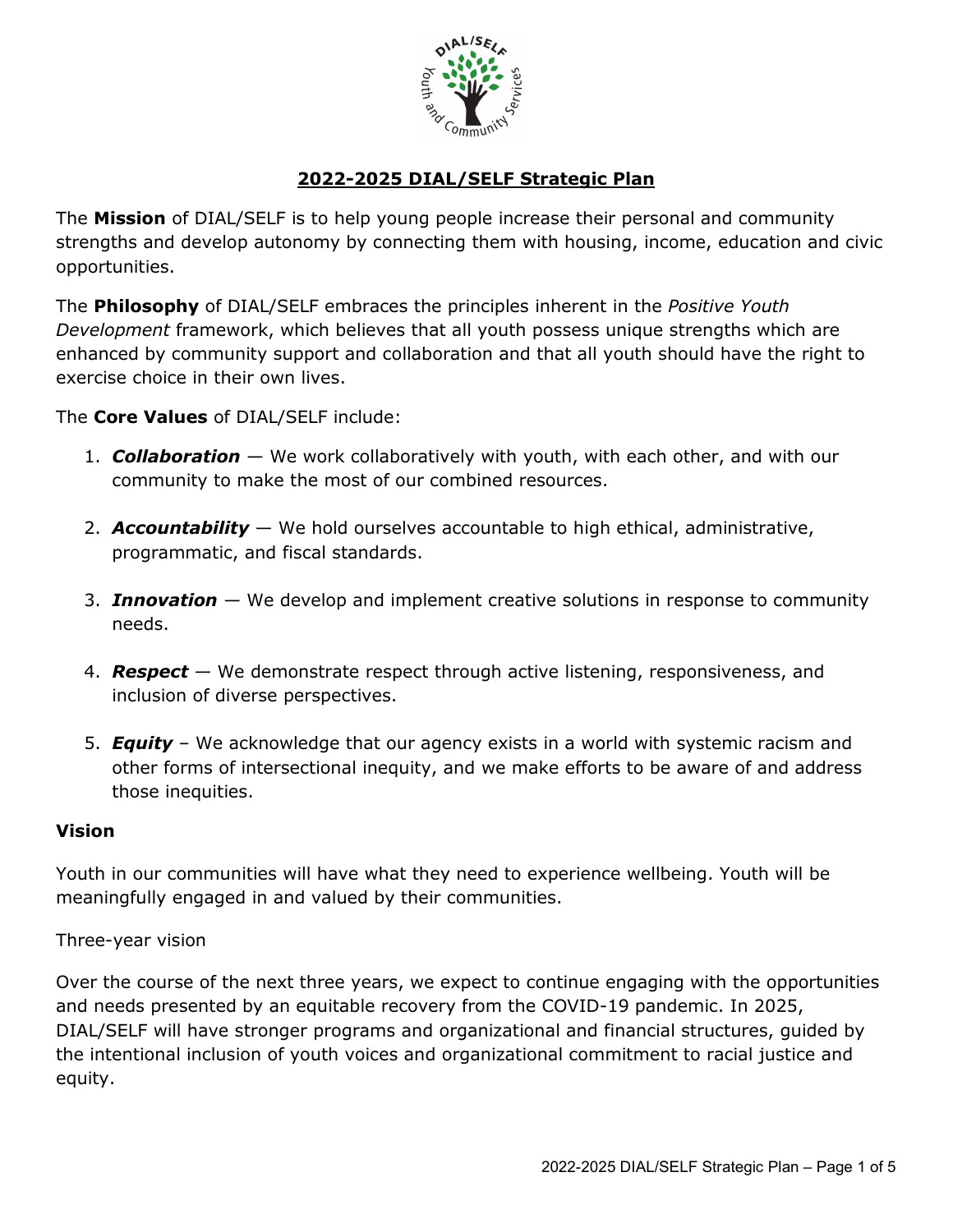

# **2022-2025 DIAL/SELF Strategic Plan**

The **Mission** of DIAL/SELF is to help young people increase their personal and community strengths and develop autonomy by connecting them with housing, income, education and civic opportunities.

The **Philosophy** of DIAL/SELF embraces the principles inherent in the *Positive Youth Development* framework, which believes that all youth possess unique strengths which are enhanced by community support and collaboration and that all youth should have the right to exercise choice in their own lives.

## The **Core Values** of DIAL/SELF include:

- 1. *Collaboration* We work collaboratively with youth, with each other, and with our community to make the most of our combined resources.
- 2. *Accountability* We hold ourselves accountable to high ethical, administrative, programmatic, and fiscal standards.
- 3. *Innovation* We develop and implement creative solutions in response to community needs.
- 4. *Respect* We demonstrate respect through active listening, responsiveness, and inclusion of diverse perspectives.
- 5. *Equity* We acknowledge that our agency exists in a world with systemic racism and other forms of intersectional inequity, and we make efforts to be aware of and address those inequities.

## **Vision**

Youth in our communities will have what they need to experience wellbeing. Youth will be meaningfully engaged in and valued by their communities.

## Three-year vision

Over the course of the next three years, we expect to continue engaging with the opportunities and needs presented by an equitable recovery from the COVID-19 pandemic. In 2025, DIAL/SELF will have stronger programs and organizational and financial structures, guided by the intentional inclusion of youth voices and organizational commitment to racial justice and equity.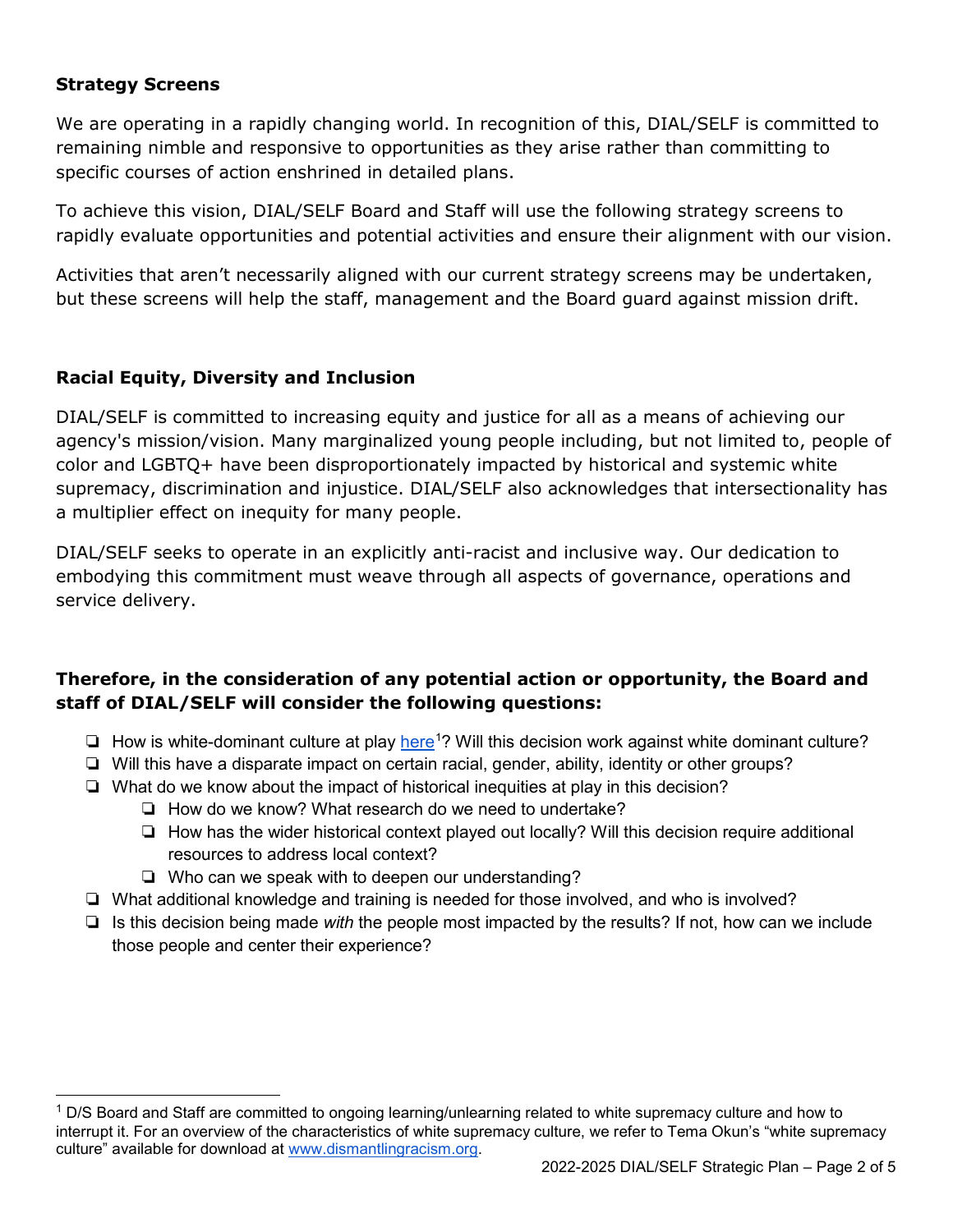### **Strategy Screens**

 $\overline{a}$ 

We are operating in a rapidly changing world. In recognition of this, DIAL/SELF is committed to remaining nimble and responsive to opportunities as they arise rather than committing to specific courses of action enshrined in detailed plans.

To achieve this vision, DIAL/SELF Board and Staff will use the following strategy screens to rapidly evaluate opportunities and potential activities and ensure their alignment with our vision.

Activities that aren't necessarily aligned with our current strategy screens may be undertaken, but these screens will help the staff, management and the Board guard against mission drift.

## **Racial Equity, Diversity and Inclusion**

DIAL/SELF is committed to increasing equity and justice for all as a means of achieving our agency's mission/vision. Many marginalized young people including, but not limited to, people of color and LGBTQ+ have been disproportionately impacted by historical and systemic white supremacy, discrimination and injustice. DIAL/SELF also acknowledges that intersectionality has a multiplier effect on inequity for many people.

DIAL/SELF seeks to operate in an explicitly anti-racist and inclusive way. Our dedication to embodying this commitment must weave through all aspects of governance, operations and service delivery.

## **Therefore, in the consideration of any potential action or opportunity, the Board and staff of DIAL/SELF will consider the following questions:**

- □ How is white-dominant culture at play [here](https://drive.google.com/file/d/1I4WBJX84ldv3Phbe0iri3woMl5uAfabi/view?usp=sharing)<sup>[1](#page-1-0)</sup>? Will this decision work against white dominant culture?
- ❏ Will this have a disparate impact on certain racial, gender, ability, identity or other groups?
- ❏ What do we know about the impact of historical inequities at play in this decision?
	- ❏ How do we know? What research do we need to undertake?
	- ❏ How has the wider historical context played out locally? Will this decision require additional resources to address local context?
	- ❏ Who can we speak with to deepen our understanding?
- ❏ What additional knowledge and training is needed for those involved, and who is involved?
- ❏ Is this decision being made *with* the people most impacted by the results? If not, how can we include those people and center their experience?

<span id="page-1-0"></span> $1$  D/S Board and Staff are committed to ongoing learning/unlearning related to white supremacy culture and how to interrupt it. For an overview of the characteristics of white supremacy culture, we refer to Tema Okun's "white supremacy culture" available for download at [www.dismantlingracism.org.](http://www.dismantlingracism.org/)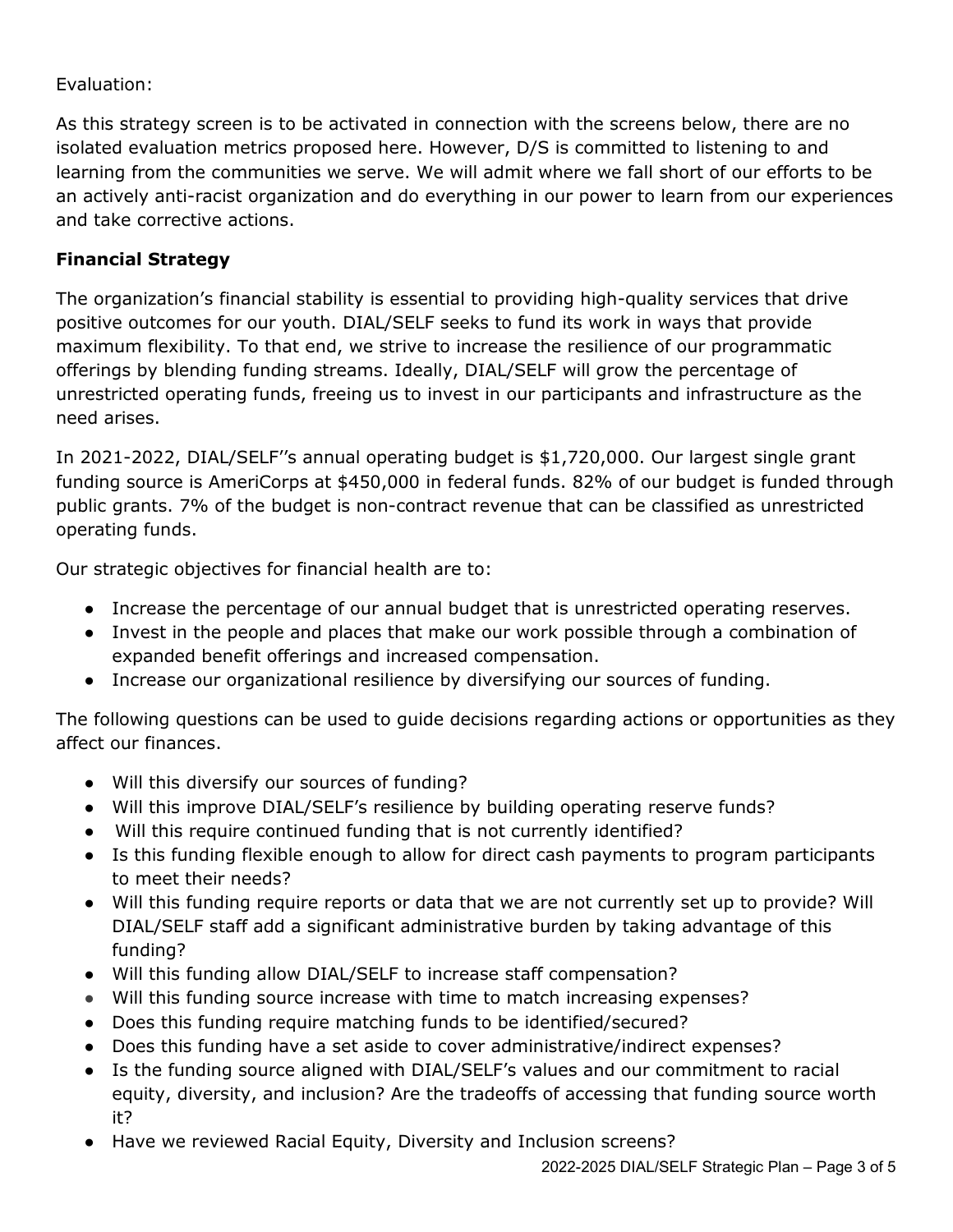## Evaluation:

As this strategy screen is to be activated in connection with the screens below, there are no isolated evaluation metrics proposed here. However, D/S is committed to listening to and learning from the communities we serve. We will admit where we fall short of our efforts to be an actively anti-racist organization and do everything in our power to learn from our experiences and take corrective actions.

### **Financial Strategy**

The organization's financial stability is essential to providing high-quality services that drive positive outcomes for our youth. DIAL/SELF seeks to fund its work in ways that provide maximum flexibility. To that end, we strive to increase the resilience of our programmatic offerings by blending funding streams. Ideally, DIAL/SELF will grow the percentage of unrestricted operating funds, freeing us to invest in our participants and infrastructure as the need arises.

In 2021-2022, DIAL/SELF''s annual operating budget is \$1,720,000. Our largest single grant funding source is AmeriCorps at \$450,000 in federal funds. 82% of our budget is funded through public grants. 7% of the budget is non-contract revenue that can be classified as unrestricted operating funds.

Our strategic objectives for financial health are to:

- Increase the percentage of our annual budget that is unrestricted operating reserves.
- Invest in the people and places that make our work possible through a combination of expanded benefit offerings and increased compensation.
- Increase our organizational resilience by diversifying our sources of funding.

The following questions can be used to guide decisions regarding actions or opportunities as they affect our finances.

- Will this diversify our sources of funding?
- Will this improve DIAL/SELF's resilience by building operating reserve funds?
- Will this require continued funding that is not currently identified?
- Is this funding flexible enough to allow for direct cash payments to program participants to meet their needs?
- Will this funding require reports or data that we are not currently set up to provide? Will DIAL/SELF staff add a significant administrative burden by taking advantage of this funding?
- Will this funding allow DIAL/SELF to increase staff compensation?
- Will this funding source increase with time to match increasing expenses?
- Does this funding require matching funds to be identified/secured?
- Does this funding have a set aside to cover administrative/indirect expenses?
- Is the funding source aligned with DIAL/SELF's values and our commitment to racial equity, diversity, and inclusion? Are the tradeoffs of accessing that funding source worth it?
- Have we reviewed Racial Equity, Diversity and Inclusion screens?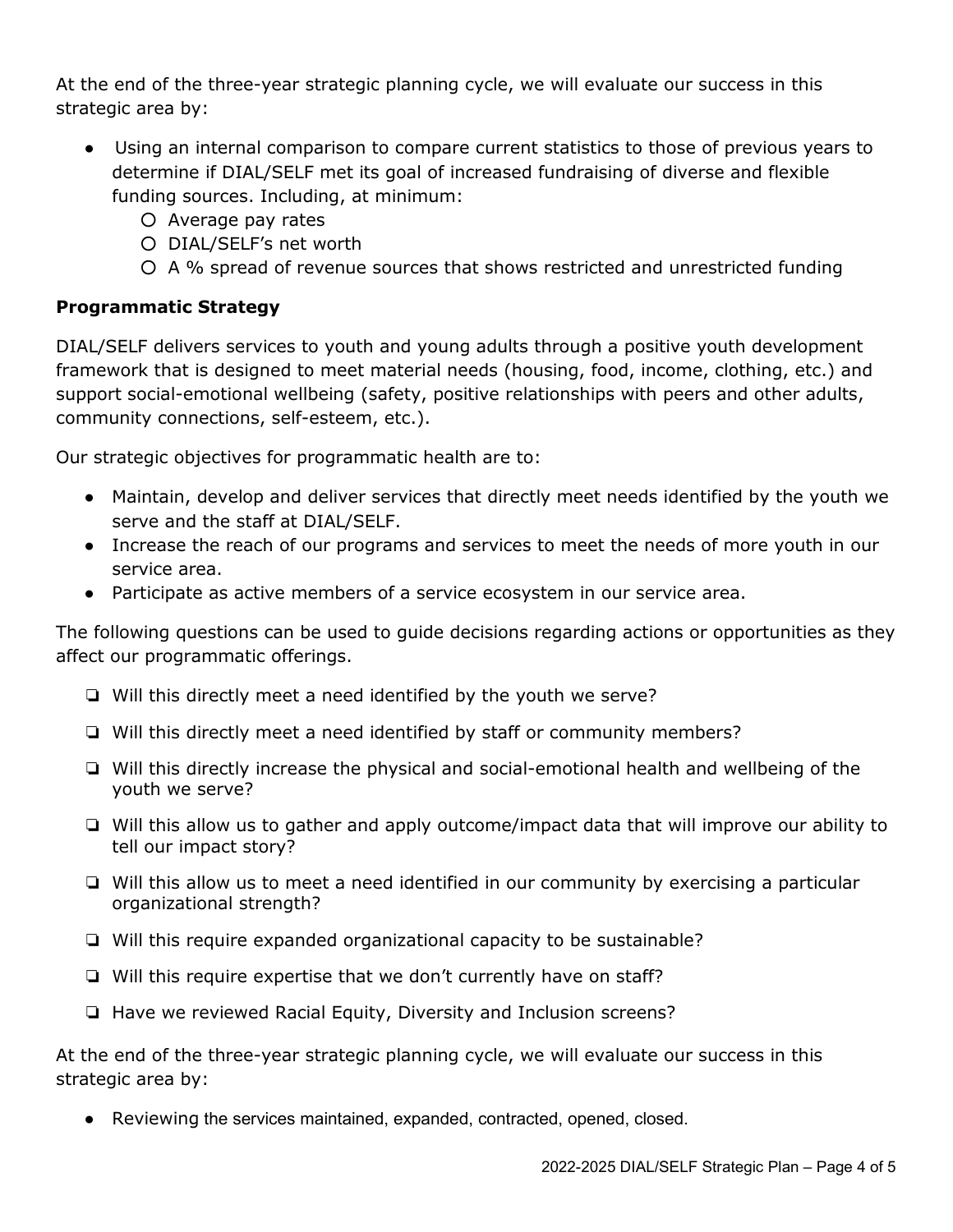At the end of the three-year strategic planning cycle, we will evaluate our success in this strategic area by:

- Using an internal comparison to compare current statistics to those of previous years to determine if DIAL/SELF met its goal of increased fundraising of diverse and flexible funding sources. Including, at minimum:
	- Average pay rates
	- DIAL/SELF's net worth
	- A % spread of revenue sources that shows restricted and unrestricted funding

## **Programmatic Strategy**

DIAL/SELF delivers services to youth and young adults through a positive youth development framework that is designed to meet material needs (housing, food, income, clothing, etc.) and support social-emotional wellbeing (safety, positive relationships with peers and other adults, community connections, self-esteem, etc.).

Our strategic objectives for programmatic health are to:

- Maintain, develop and deliver services that directly meet needs identified by the youth we serve and the staff at DIAL/SELF.
- Increase the reach of our programs and services to meet the needs of more youth in our service area.
- Participate as active members of a service ecosystem in our service area.

The following questions can be used to guide decisions regarding actions or opportunities as they affect our programmatic offerings.

- ❏ Will this directly meet a need identified by the youth we serve?
- ❏ Will this directly meet a need identified by staff or community members?
- ❏ Will this directly increase the physical and social-emotional health and wellbeing of the youth we serve?
- ❏ Will this allow us to gather and apply outcome/impact data that will improve our ability to tell our impact story?
- ❏ Will this allow us to meet a need identified in our community by exercising a particular organizational strength?
- ❏ Will this require expanded organizational capacity to be sustainable?
- ❏ Will this require expertise that we don't currently have on staff?
- ❏ Have we reviewed Racial Equity, Diversity and Inclusion screens?

At the end of the three-year strategic planning cycle, we will evaluate our success in this strategic area by:

● Reviewing the services maintained, expanded, contracted, opened, closed.